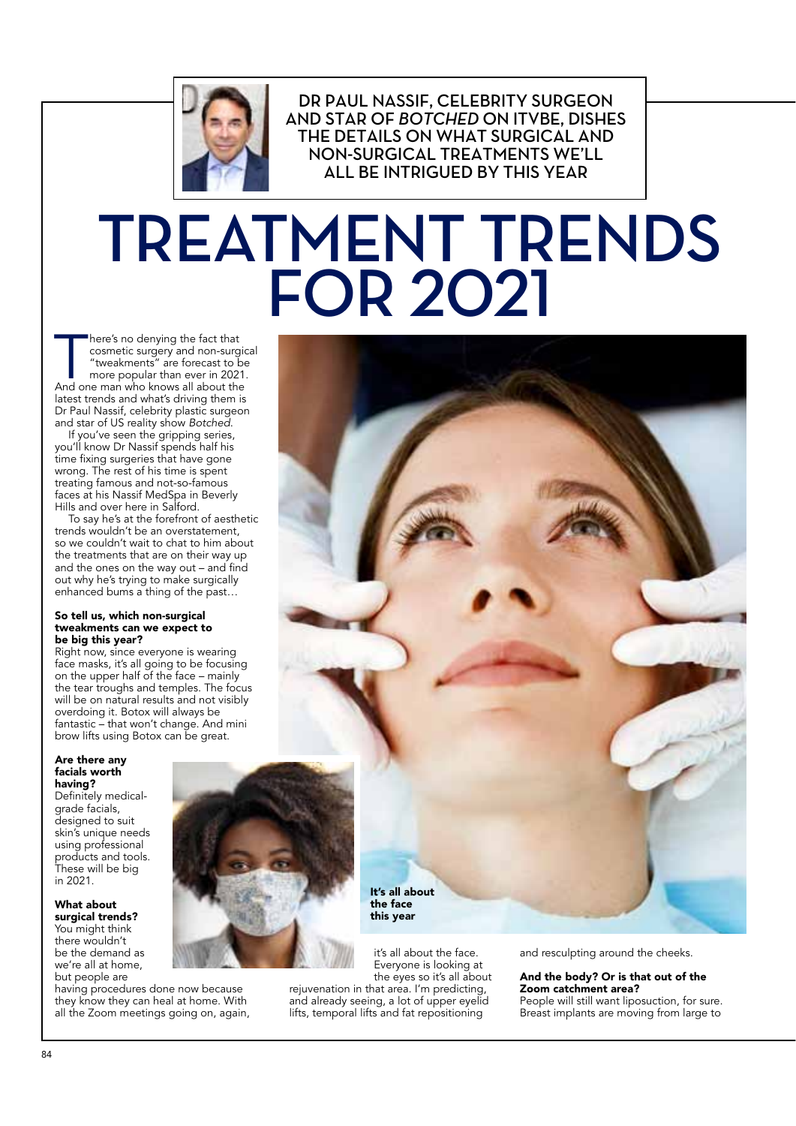

DR PAUL NASSIF, CELEBRITY SURGEON **AND STAR OF BOTCHED ON ITVBE. DISHES** THE DETAILS ON WHAT SURGICAL AND NON-SURGICAL TREATMENTS WE'LL ALL BE INTRIGUED BY THIS YEAR

# TREATMENT TRENDS **FOR 2021**

here's no denying the fact that<br>
cosmetic surgery and non-surgic<br>
"tweakments" are forecast to be<br>
more popular than ever in 2021.<br>
And one man who knows all about the here's no denying the fact that cosmetic surgery and non-surgical "tweakments" are forecast to be more popular than ever in 2021. latest trends and what's driving them is Dr Paul Nassif, celebrity plastic surgeon and star of US reality show *Botched*.

If you've seen the gripping series, you'll know Dr Nassif spends half his time fixing surgeries that have gone wrong. The rest of his time is spent treating famous and not-so-famous faces at his Nassif MedSpa in Beverly Hills and over here in Salford.

To say he's at the forefront of aesthetic trends wouldn't be an overstatement, so we couldn't wait to chat to him about the treatments that are on their way up and the ones on the way out – and find out why he's trying to make surgically enhanced bums a thing of the past…

#### So tell us, which non-surgical tweakments can we expect to be big this year?

Right now, since everyone is wearing face masks, it's all going to be focusing on the upper half of the face – mainly the tear troughs and temples. The focus will be on natural results and not visibly overdoing it. Botox will always be fantastic – that won't change. And mini brow lifts using Botox can be great.

#### Are there any facials worth having?

Definitely medicalgrade facials, designed to suit skin's unique needs using professional products and tools. These will be big in 2021.

What about surgical trends? You might think there wouldn't

be the demand as we're all at home, but people are having procedures done now because

they know they can heal at home. With all the Zoom meetings going on, again,



It's all about the face this year

lifts, temporal lifts and fat repositioning

it's all about the face. Everyone is looking at the eyes so it's all about rejuvenation in that area. I'm predicting, and already seeing, a lot of upper eyelid

and resculpting around the cheeks.

#### And the body? Or is that out of the Zoom catchment area?

People will still want liposuction, for sure. Breast implants are moving from large to